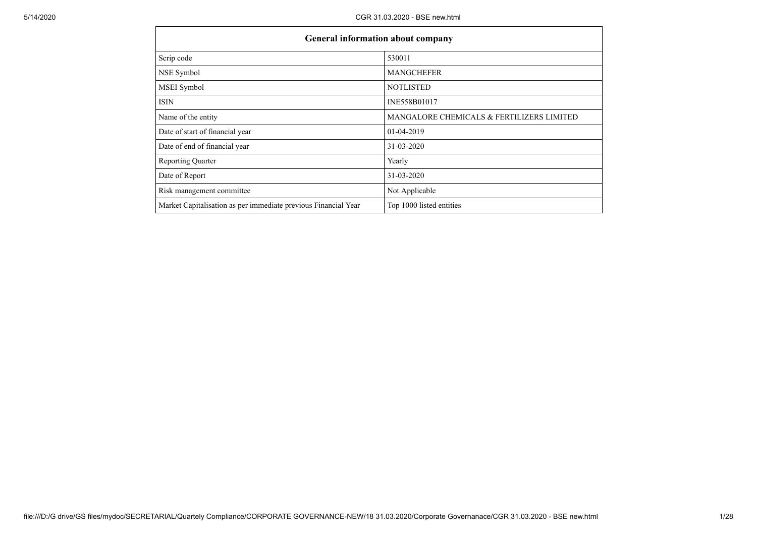| <b>General information about company</b>                       |                                           |
|----------------------------------------------------------------|-------------------------------------------|
| Scrip code                                                     | 530011                                    |
| NSE Symbol                                                     | <b>MANGCHEFER</b>                         |
| MSEI Symbol                                                    | <b>NOTLISTED</b>                          |
| ISIN                                                           | INE558B01017                              |
| Name of the entity                                             | MANGALORE CHEMICALS & FERTILIZERS LIMITED |
| Date of start of financial year                                | 01-04-2019                                |
| Date of end of financial year                                  | 31-03-2020                                |
| <b>Reporting Quarter</b>                                       | Yearly                                    |
| Date of Report                                                 | 31-03-2020                                |
| Risk management committee                                      | Not Applicable                            |
| Market Capitalisation as per immediate previous Financial Year | Top 1000 listed entities                  |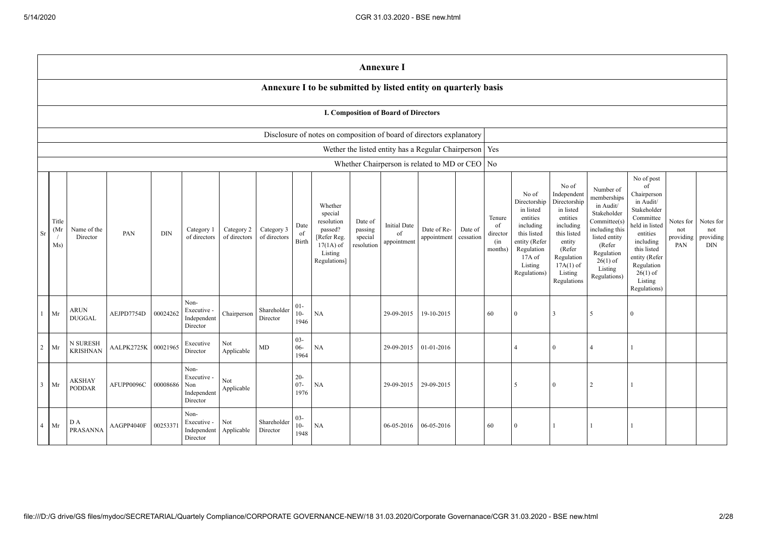|                                                                                                                                                                                                                                                                                                                                                                                                                                                                                                                            | <b>Annexure I</b>                                                    |                                    |            |          |                                                       |                                                                                                                                                |                                                                                                                                                                      |                                                                                                                                                                          |                                                                                                                                                                                                                    |                                      |                                                          |            |  |    |                |          |                |              |  |  |
|----------------------------------------------------------------------------------------------------------------------------------------------------------------------------------------------------------------------------------------------------------------------------------------------------------------------------------------------------------------------------------------------------------------------------------------------------------------------------------------------------------------------------|----------------------------------------------------------------------|------------------------------------|------------|----------|-------------------------------------------------------|------------------------------------------------------------------------------------------------------------------------------------------------|----------------------------------------------------------------------------------------------------------------------------------------------------------------------|--------------------------------------------------------------------------------------------------------------------------------------------------------------------------|--------------------------------------------------------------------------------------------------------------------------------------------------------------------------------------------------------------------|--------------------------------------|----------------------------------------------------------|------------|--|----|----------------|----------|----------------|--------------|--|--|
|                                                                                                                                                                                                                                                                                                                                                                                                                                                                                                                            | Annexure I to be submitted by listed entity on quarterly basis       |                                    |            |          |                                                       |                                                                                                                                                |                                                                                                                                                                      |                                                                                                                                                                          |                                                                                                                                                                                                                    |                                      |                                                          |            |  |    |                |          |                |              |  |  |
|                                                                                                                                                                                                                                                                                                                                                                                                                                                                                                                            | I. Composition of Board of Directors                                 |                                    |            |          |                                                       |                                                                                                                                                |                                                                                                                                                                      |                                                                                                                                                                          |                                                                                                                                                                                                                    |                                      |                                                          |            |  |    |                |          |                |              |  |  |
|                                                                                                                                                                                                                                                                                                                                                                                                                                                                                                                            | Disclosure of notes on composition of board of directors explanatory |                                    |            |          |                                                       |                                                                                                                                                |                                                                                                                                                                      |                                                                                                                                                                          |                                                                                                                                                                                                                    |                                      |                                                          |            |  |    |                |          |                |              |  |  |
|                                                                                                                                                                                                                                                                                                                                                                                                                                                                                                                            |                                                                      |                                    |            |          |                                                       |                                                                                                                                                |                                                                                                                                                                      |                                                                                                                                                                          |                                                                                                                                                                                                                    |                                      | Wether the listed entity has a Regular Chairperson   Yes |            |  |    |                |          |                |              |  |  |
| Whether Chairperson is related to MD or CEO No<br>Whether<br>special<br>Title<br>resolution<br>Date of<br><b>Initial Date</b><br>Date<br>Category 3<br>Date of Re-<br>Date of<br>(Mr)<br>Name of the<br>Category 2<br>passed?<br>passing<br>Category 1<br>Sr<br>PAN<br><b>DIN</b><br>of<br>of<br>of directors<br>of directors<br>$\sqrt{ }$<br>of directors<br>appointment<br>Director<br>Refer Reg.<br>special<br>cessation<br><b>Birth</b><br>appointment<br>Ms)<br>$17(1A)$ of<br>resolution<br>Listing<br>Regulations] |                                                                      |                                    |            |          | Tenure<br>of<br>director<br>(in<br>months)            | No of<br>Directorship<br>in listed<br>entities<br>including<br>this listed<br>entity (Refer<br>Regulation<br>17A of<br>Listing<br>Regulations) | No of<br>Independent<br>Directorship<br>in listed<br>entities<br>including<br>this listed<br>entity<br>(Refer<br>Regulation<br>$17A(1)$ of<br>Listing<br>Regulations | Number of<br>memberships<br>in Audit/<br>Stakeholder<br>Committee(s)<br>including this<br>listed entity<br>(Refer<br>Regulation<br>$26(1)$ of<br>Listing<br>Regulations) | No of post<br>$\sigma$ f<br>Chairperson<br>in Audit/<br>Stakeholder<br>Committee<br>held in listed<br>entities<br>including<br>this listed<br>entity (Refer<br>Regulation<br>$26(1)$ of<br>Listing<br>Regulations) | Notes for<br>not<br>providing<br>PAN | Notes for<br>not<br>providing<br><b>DIN</b>              |            |  |    |                |          |                |              |  |  |
| $\mathbf{1}$                                                                                                                                                                                                                                                                                                                                                                                                                                                                                                               | Mr                                                                   | <b>ARUN</b><br><b>DUGGAL</b>       | AEJPD7754D | 00024262 | Non-<br>Executive -<br>Independent<br>Director        | Chairperson                                                                                                                                    | Shareholder<br>Director                                                                                                                                              | $01 -$<br>$10-$<br>1946                                                                                                                                                  | NA                                                                                                                                                                                                                 |                                      | 29-09-2015                                               | 19-10-2015 |  | 60 | $\Omega$       | 3        | 5              | $\mathbf{0}$ |  |  |
| $\overline{c}$                                                                                                                                                                                                                                                                                                                                                                                                                                                                                                             | Mr                                                                   | <b>N SURESH</b><br><b>KRISHNAN</b> | AALPK2725K | 00021965 | Executive<br>Director                                 | Not<br>Applicable                                                                                                                              | $\rm MD$                                                                                                                                                             | $03 -$<br>$06 -$<br>1964                                                                                                                                                 | NA                                                                                                                                                                                                                 |                                      | 29-09-2015                                               | 01-01-2016 |  |    | $\overline{4}$ | $\theta$ | $\overline{4}$ |              |  |  |
| 3                                                                                                                                                                                                                                                                                                                                                                                                                                                                                                                          | Mr                                                                   | <b>AKSHAY</b><br><b>PODDAR</b>     | AFUPP0096C | 00008686 | Non-<br>Executive -<br>Non<br>Independent<br>Director | Not<br>Applicable                                                                                                                              |                                                                                                                                                                      | $20 -$<br>$07 -$<br>1976                                                                                                                                                 | NA                                                                                                                                                                                                                 |                                      | 29-09-2015                                               | 29-09-2015 |  |    | 5              | $\theta$ | 2              |              |  |  |
| $\overline{4}$                                                                                                                                                                                                                                                                                                                                                                                                                                                                                                             | Mr                                                                   | D A<br>PRASANNA                    | AAGPP4040F | 0025337  | Non-<br>Executive -<br>Independent<br>Director        | Not<br>Applicable                                                                                                                              | Shareholder<br>Director                                                                                                                                              | $03 -$<br>$10-$<br>1948                                                                                                                                                  | NA                                                                                                                                                                                                                 |                                      | 06-05-2016                                               | 06-05-2016 |  | 60 | $\Omega$       |          | $\mathbf{1}$   |              |  |  |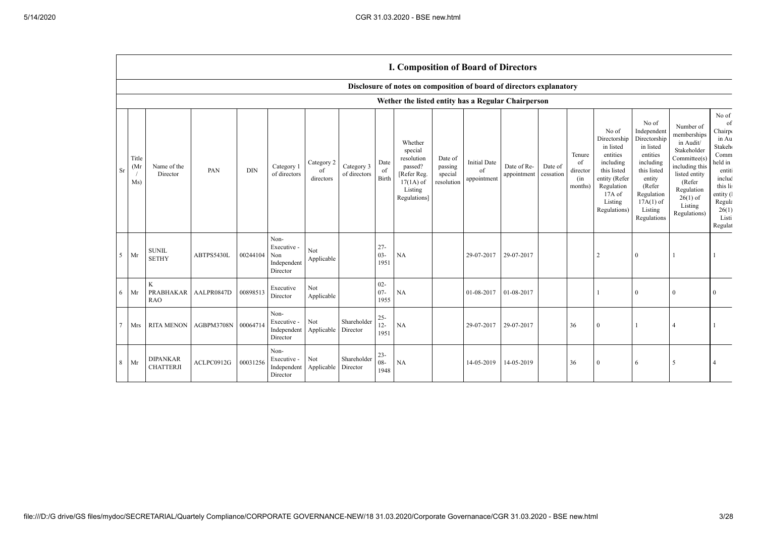**TELEVISION** 

|             |                     |                                     |                     |            |                                                       |                               |                            |                          | <b>I. Composition of Board of Directors</b>                                                          |                                             |                                          |                            |                      |                                            |                                                                                                                                                |                                                                                                                                                                      |                                                                                                                                                                          |                                                                                                                                                             |
|-------------|---------------------|-------------------------------------|---------------------|------------|-------------------------------------------------------|-------------------------------|----------------------------|--------------------------|------------------------------------------------------------------------------------------------------|---------------------------------------------|------------------------------------------|----------------------------|----------------------|--------------------------------------------|------------------------------------------------------------------------------------------------------------------------------------------------|----------------------------------------------------------------------------------------------------------------------------------------------------------------------|--------------------------------------------------------------------------------------------------------------------------------------------------------------------------|-------------------------------------------------------------------------------------------------------------------------------------------------------------|
|             |                     |                                     |                     |            |                                                       |                               |                            |                          | Disclosure of notes on composition of board of directors explanatory                                 |                                             |                                          |                            |                      |                                            |                                                                                                                                                |                                                                                                                                                                      |                                                                                                                                                                          |                                                                                                                                                             |
|             |                     |                                     |                     |            |                                                       |                               |                            |                          | Wether the listed entity has a Regular Chairperson                                                   |                                             |                                          |                            |                      |                                            |                                                                                                                                                |                                                                                                                                                                      |                                                                                                                                                                          |                                                                                                                                                             |
| Sr          | Title<br>(Mr<br>Ms) | Name of the<br>Director             | PAN                 | <b>DIN</b> | Category 1<br>of directors                            | Category 2<br>of<br>directors | Category 3<br>of directors | Date<br>of<br>Birth      | Whether<br>special<br>resolution<br>passed?<br>[Refer Reg.<br>$17(1A)$ of<br>Listing<br>Regulations] | Date of<br>passing<br>special<br>resolution | <b>Initial Date</b><br>of<br>appointment | Date of Re-<br>appointment | Date of<br>cessation | Tenure<br>of<br>director<br>(in<br>months) | No of<br>Directorship<br>in listed<br>entities<br>including<br>this listed<br>entity (Refer<br>Regulation<br>17A of<br>Listing<br>Regulations) | No of<br>Independent<br>Directorship<br>in listed<br>entities<br>including<br>this listed<br>entity<br>(Refer<br>Regulation<br>$17A(1)$ of<br>Listing<br>Regulations | Number of<br>memberships<br>in Audit/<br>Stakeholder<br>Committee(s)<br>including this<br>listed entity<br>(Refer<br>Regulation<br>$26(1)$ of<br>Listing<br>Regulations) | No of<br>of<br>Chairp<br>in Au<br>Stakeh <sub>®</sub><br>Comm<br>held in<br>entiti<br>includ<br>this lis<br>entity (<br>Regula<br>26(1)<br>Listi<br>Regulat |
| $5^{\circ}$ | Mr                  | <b>SUNIL</b><br><b>SETHY</b>        | ABTPS5430L          | 00244104   | Non-<br>Executive -<br>Non<br>Independent<br>Director | Not<br>Applicable             |                            | $27 -$<br>$03 -$<br>1951 | NA                                                                                                   |                                             | 29-07-2017                               | 29-07-2017                 |                      |                                            | 2                                                                                                                                              | $\mathbf{0}$                                                                                                                                                         |                                                                                                                                                                          |                                                                                                                                                             |
| 6           | Mr                  | $\rm K$<br>PRABHAKAR<br><b>RAO</b>  | AALPR0847D          | 00898513   | Executive<br>Director                                 | Not<br>Applicable             |                            | $02 -$<br>$07 -$<br>1955 | <b>NA</b>                                                                                            |                                             | 01-08-2017                               | 01-08-2017                 |                      |                                            |                                                                                                                                                | $\mathbf{0}$                                                                                                                                                         | $\theta$                                                                                                                                                                 | $\mathbf{0}$                                                                                                                                                |
| $\tau$      | Mrs                 | <b>RITA MENON</b>                   | AGBPM3708N 00064714 |            | Non-<br>Executive -<br>Independent<br>Director        | Not<br>Applicable             | Shareholder<br>Director    | $25 -$<br>$12 -$<br>1951 | NA                                                                                                   |                                             | 29-07-2017                               | 29-07-2017                 |                      | 36                                         | $\Omega$                                                                                                                                       |                                                                                                                                                                      |                                                                                                                                                                          |                                                                                                                                                             |
| 8           | Mr                  | <b>DIPANKAR</b><br><b>CHATTERJI</b> | ACLPC0912G          | 00031256   | Non-<br>Executive -<br>Independent<br>Director        | Not<br>Applicable             | Shareholder<br>Director    | $23 -$<br>$08 -$<br>1948 | NA                                                                                                   |                                             | 14-05-2019                               | 14-05-2019                 |                      | 36                                         | $\theta$                                                                                                                                       | 6                                                                                                                                                                    | 5                                                                                                                                                                        |                                                                                                                                                             |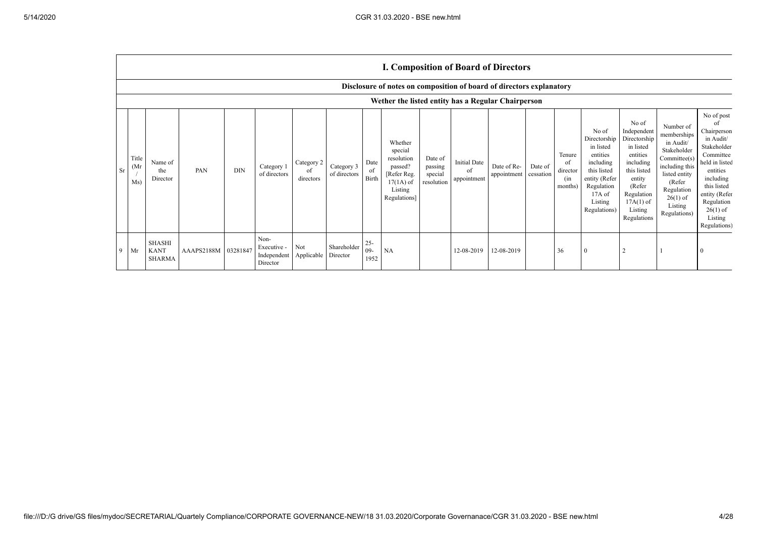$\blacksquare$ 

|   |                            | <b>I. Composition of Board of Directors</b>                          |            |            |                                                |                               |                            |                         |                                                                                                      |                                             |                                          |                            |                      |                                            |                                                                                                                                                |                                                                                                                                                                      |                                                                                                                                                                          |                                                                                                                                                                                                            |
|---|----------------------------|----------------------------------------------------------------------|------------|------------|------------------------------------------------|-------------------------------|----------------------------|-------------------------|------------------------------------------------------------------------------------------------------|---------------------------------------------|------------------------------------------|----------------------------|----------------------|--------------------------------------------|------------------------------------------------------------------------------------------------------------------------------------------------|----------------------------------------------------------------------------------------------------------------------------------------------------------------------|--------------------------------------------------------------------------------------------------------------------------------------------------------------------------|------------------------------------------------------------------------------------------------------------------------------------------------------------------------------------------------------------|
|   |                            | Disclosure of notes on composition of board of directors explanatory |            |            |                                                |                               |                            |                         |                                                                                                      |                                             |                                          |                            |                      |                                            |                                                                                                                                                |                                                                                                                                                                      |                                                                                                                                                                          |                                                                                                                                                                                                            |
|   |                            | Wether the listed entity has a Regular Chairperson                   |            |            |                                                |                               |                            |                         |                                                                                                      |                                             |                                          |                            |                      |                                            |                                                                                                                                                |                                                                                                                                                                      |                                                                                                                                                                          |                                                                                                                                                                                                            |
|   | Title<br>(Mr)<br>Sr<br>Ms) | Name of<br>the<br>Director                                           | PAN        | <b>DIN</b> | Category 1<br>of directors                     | Category 2<br>of<br>directors | Category 3<br>of directors | Date<br>of<br>Birth     | Whether<br>special<br>resolution<br>passed?<br>[Refer Reg.<br>$17(1A)$ of<br>Listing<br>Regulations] | Date of<br>passing<br>special<br>resolution | <b>Initial Date</b><br>of<br>appointment | Date of Re-<br>appointment | Date of<br>cessation | Tenure<br>of<br>director<br>(in<br>months) | No of<br>Directorship<br>in listed<br>entities<br>including<br>this listed<br>entity (Refer<br>Regulation<br>17A of<br>Listing<br>Regulations) | No of<br>Independent<br>Directorship<br>in listed<br>entities<br>including<br>this listed<br>entity<br>(Refer<br>Regulation<br>$17A(1)$ of<br>Listing<br>Regulations | Number of<br>memberships<br>in Audit/<br>Stakeholder<br>Committee(s)<br>including this<br>listed entity<br>(Refer<br>Regulation<br>$26(1)$ of<br>Listing<br>Regulations) | No of post<br>of<br>Chairperson<br>in Audit/<br>Stakeholder<br>Committee<br>held in listed<br>entities<br>including<br>this listed<br>entity (Refer<br>Regulation<br>$26(1)$ of<br>Listing<br>Regulations) |
| 9 | Mr                         | SHASHI<br><b>KANT</b><br><b>SHARMA</b>                               | AAAPS2188M | 03281847   | Non-<br>Executive -<br>Independent<br>Director | Not<br>Applicable Director    | Shareholder                | $25 -$<br>$09-$<br>1952 | NA                                                                                                   |                                             | 12-08-2019                               | 12-08-2019                 |                      | 36                                         | $\theta$                                                                                                                                       | $\overline{2}$                                                                                                                                                       |                                                                                                                                                                          |                                                                                                                                                                                                            |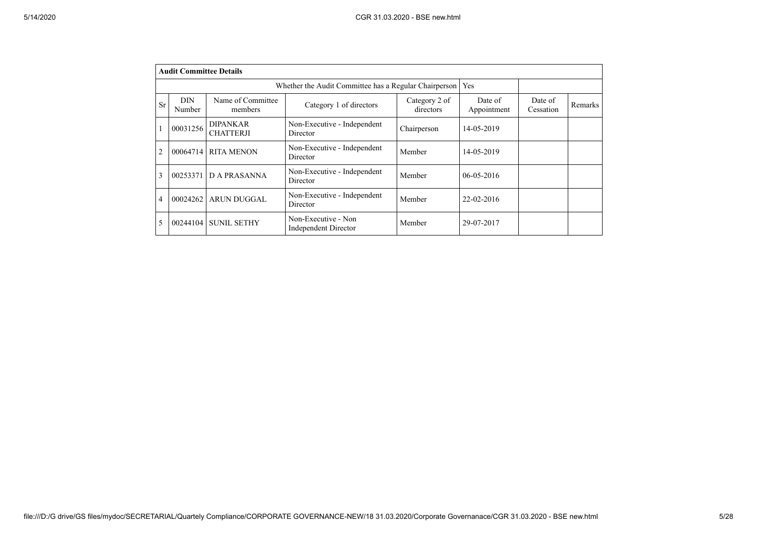|                | <b>Audit Committee Details</b> |                                     |                                                       |                            |                        |                      |         |
|----------------|--------------------------------|-------------------------------------|-------------------------------------------------------|----------------------------|------------------------|----------------------|---------|
|                |                                |                                     | Whether the Audit Committee has a Regular Chairperson |                            | Yes                    |                      |         |
| Sr             | <b>DIN</b><br>Number           | Name of Committee<br>members        | Category 1 of directors                               | Category 2 of<br>directors | Date of<br>Appointment | Date of<br>Cessation | Remarks |
|                | 00031256                       | <b>DIPANKAR</b><br><b>CHATTERJI</b> | Non-Executive - Independent<br>Director               | Chairperson                | 14-05-2019             |                      |         |
| $\overline{2}$ | 00064714                       | <b>RITA MENON</b>                   | Non-Executive - Independent<br>Director               | Member                     | 14-05-2019             |                      |         |
| 3              | 00253371                       | <b>DA PRASANNA</b>                  | Non-Executive - Independent<br>Director               | Member                     | $06 - 05 - 2016$       |                      |         |
| 4              | 00024262                       | <b>ARUN DUGGAL</b>                  | Non-Executive - Independent<br>Director               | Member                     | 22-02-2016             |                      |         |
| 5              | 00244104                       | <b>SUNIL SETHY</b>                  | Non-Executive - Non<br><b>Independent Director</b>    | Member                     | 29-07-2017             |                      |         |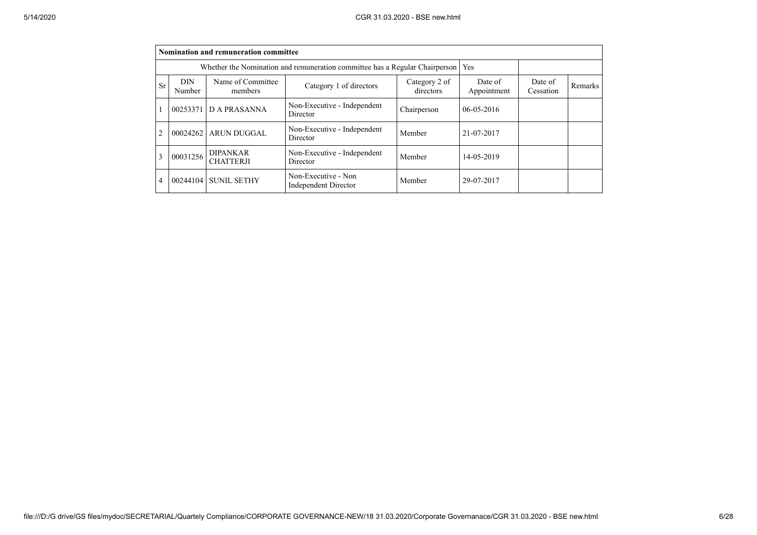|                | Nomination and remuneration committee                                       |                                     |                                             |                            |                        |                      |         |  |  |  |  |
|----------------|-----------------------------------------------------------------------------|-------------------------------------|---------------------------------------------|----------------------------|------------------------|----------------------|---------|--|--|--|--|
|                | Whether the Nomination and remuneration committee has a Regular Chairperson |                                     |                                             |                            |                        |                      |         |  |  |  |  |
| Sr             | <b>DIN</b><br>Number                                                        | Name of Committee<br>members        | Category 1 of directors                     | Category 2 of<br>directors | Date of<br>Appointment | Date of<br>Cessation | Remarks |  |  |  |  |
|                | 00253371                                                                    | D A PRASANNA                        | Non-Executive - Independent<br>Director     | Chairperson                | $06 - 05 - 2016$       |                      |         |  |  |  |  |
| $\mathfrak{D}$ | 00024262                                                                    | <b>ARUN DUGGAL</b>                  | Non-Executive - Independent<br>Director     | Member                     | 21-07-2017             |                      |         |  |  |  |  |
| 3              | 00031256                                                                    | <b>DIPANKAR</b><br><b>CHATTERJI</b> | Non-Executive - Independent<br>Director     | Member                     | 14-05-2019             |                      |         |  |  |  |  |
| 4              | 00244104                                                                    | <b>SUNIL SETHY</b>                  | Non-Executive - Non<br>Independent Director | Member                     | 29-07-2017             |                      |         |  |  |  |  |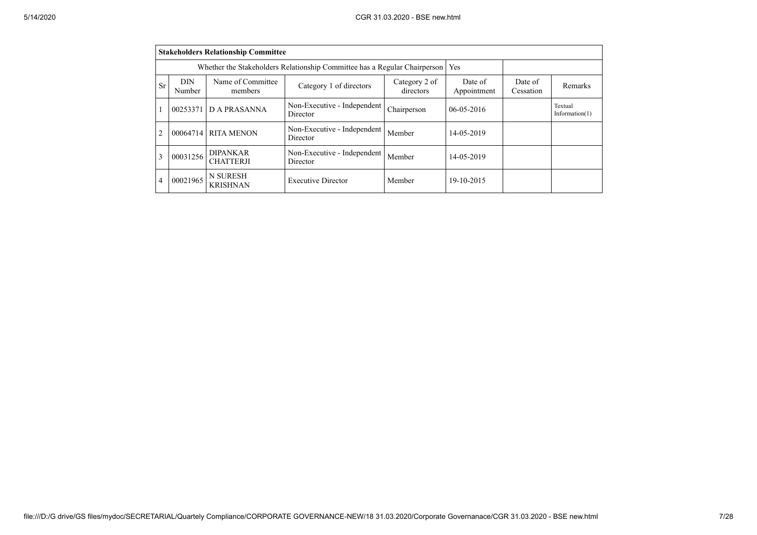|    | <b>Stakeholders Relationship Committee</b> |                                                                           |                                         |                            |                        |                      |                              |  |  |  |
|----|--------------------------------------------|---------------------------------------------------------------------------|-----------------------------------------|----------------------------|------------------------|----------------------|------------------------------|--|--|--|
|    |                                            | Whether the Stakeholders Relationship Committee has a Regular Chairperson | Yes                                     |                            |                        |                      |                              |  |  |  |
| Sr | <b>DIN</b><br>Number                       | Name of Committee<br>members                                              | Category 1 of directors                 | Category 2 of<br>directors | Date of<br>Appointment | Date of<br>Cessation | Remarks                      |  |  |  |
|    | 00253371                                   | D A PRASANNA                                                              | Non-Executive - Independent<br>Director | Chairperson                | $06 - 05 - 2016$       |                      | Textual<br>Information $(1)$ |  |  |  |
| 2  | 00064714                                   | <b>RITA MENON</b>                                                         | Non-Executive - Independent<br>Director | Member                     | 14-05-2019             |                      |                              |  |  |  |
| 3  | 00031256                                   | <b>DIPANKAR</b><br><b>CHATTERJI</b>                                       | Non-Executive - Independent<br>Director | Member                     | 14-05-2019             |                      |                              |  |  |  |
| 4  | 00021965                                   | <b>N SURESH</b><br><b>KRISHNAN</b>                                        | <b>Executive Director</b>               | Member                     | 19-10-2015             |                      |                              |  |  |  |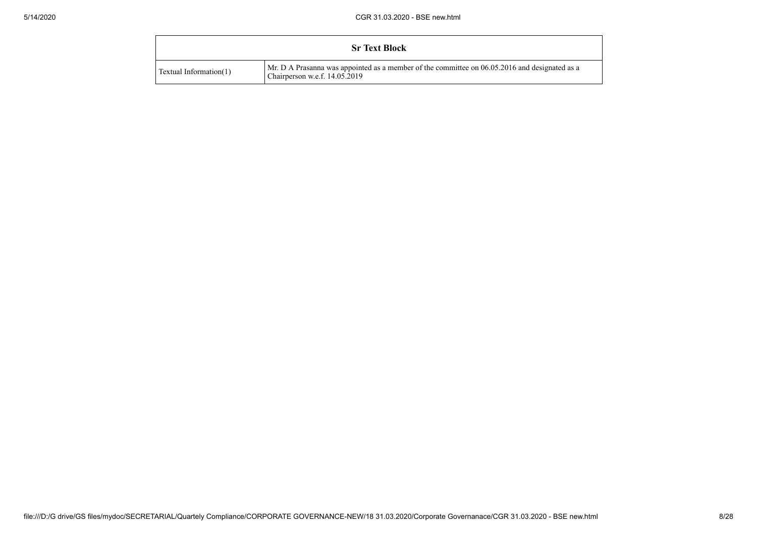|                        | <b>Sr Text Block</b>                                                                                                           |
|------------------------|--------------------------------------------------------------------------------------------------------------------------------|
| Textual Information(1) | Mr. D A Prasanna was appointed as a member of the committee on 06.05.2016 and designated as a<br>Chairperson w.e.f. 14.05.2019 |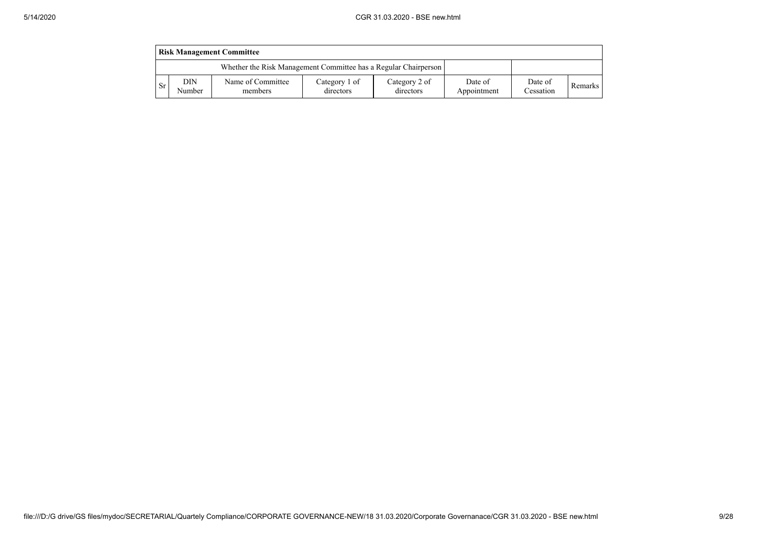|           | <b>Risk Management Committee</b>                                |                              |                            |                            |                        |                      |         |  |  |  |
|-----------|-----------------------------------------------------------------|------------------------------|----------------------------|----------------------------|------------------------|----------------------|---------|--|--|--|
|           | Whether the Risk Management Committee has a Regular Chairperson |                              |                            |                            |                        |                      |         |  |  |  |
| <b>Sr</b> | DIN<br>Number                                                   | Name of Committee<br>members | Category 1 of<br>directors | Category 2 of<br>directors | Date of<br>Appointment | Date of<br>Cessation | Remarks |  |  |  |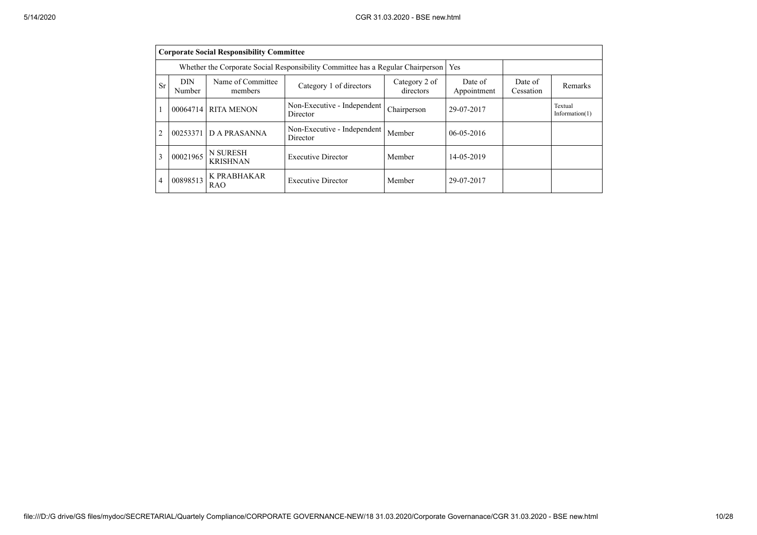|                | <b>Corporate Social Responsibility Committee</b> |                                                                                 |                                         |                            |                        |                      |                              |  |  |  |
|----------------|--------------------------------------------------|---------------------------------------------------------------------------------|-----------------------------------------|----------------------------|------------------------|----------------------|------------------------------|--|--|--|
|                |                                                  | Whether the Corporate Social Responsibility Committee has a Regular Chairperson | <b>Yes</b>                              |                            |                        |                      |                              |  |  |  |
| <b>Sr</b>      | <b>DIN</b><br>Number                             | Name of Committee<br>members                                                    | Category 1 of directors                 | Category 2 of<br>directors | Date of<br>Appointment | Date of<br>Cessation | Remarks                      |  |  |  |
| $\mathbf{1}$   | 00064714                                         | <b>RITA MENON</b>                                                               | Non-Executive - Independent<br>Director | Chairperson                | 29-07-2017             |                      | Textual<br>Information $(1)$ |  |  |  |
| $\overline{2}$ | 00253371                                         | D A PRASANNA                                                                    | Non-Executive - Independent<br>Director | Member                     | $06 - 05 - 2016$       |                      |                              |  |  |  |
| 3              | 00021965                                         | <b>N SURESH</b><br><b>KRISHNAN</b>                                              | <b>Executive Director</b>               | Member                     | 14-05-2019             |                      |                              |  |  |  |
| $\overline{4}$ | 00898513                                         | K PRABHAKAR<br><b>RAO</b>                                                       | <b>Executive Director</b>               | Member                     | 29-07-2017             |                      |                              |  |  |  |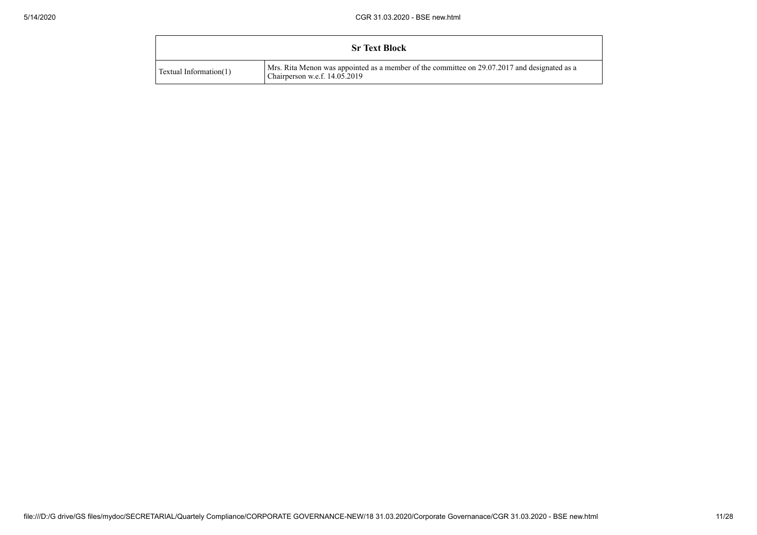|                        | <b>Sr Text Block</b>                                                                                                          |
|------------------------|-------------------------------------------------------------------------------------------------------------------------------|
| Textual Information(1) | Mrs. Rita Menon was appointed as a member of the committee on 29.07.2017 and designated as a<br>Chairperson w.e.f. 14.05.2019 |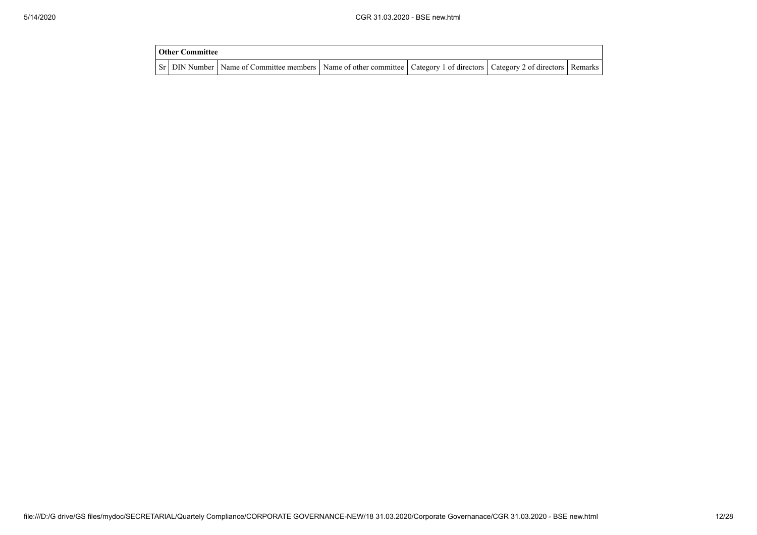| Other Committee |                                                                                                                                     |  |  |  |  |  |  |
|-----------------|-------------------------------------------------------------------------------------------------------------------------------------|--|--|--|--|--|--|
|                 | Sr   DIN Number   Name of Committee members   Name of other committee   Category 1 of directors   Category 2 of directors   Remarks |  |  |  |  |  |  |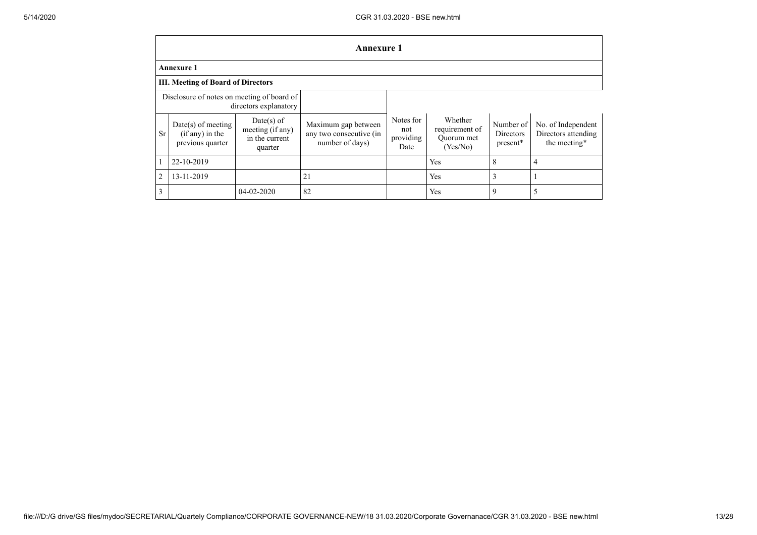|                | <b>Annexure 1</b>                                           |                                                               |                                                                   |                                       |                                                     |                                           |                                                           |
|----------------|-------------------------------------------------------------|---------------------------------------------------------------|-------------------------------------------------------------------|---------------------------------------|-----------------------------------------------------|-------------------------------------------|-----------------------------------------------------------|
|                | <b>Annexure 1</b>                                           |                                                               |                                                                   |                                       |                                                     |                                           |                                                           |
|                | <b>III. Meeting of Board of Directors</b>                   |                                                               |                                                                   |                                       |                                                     |                                           |                                                           |
|                | Disclosure of notes on meeting of board of                  | directors explanatory                                         |                                                                   |                                       |                                                     |                                           |                                                           |
| <b>Sr</b>      | $Date(s)$ of meeting<br>(if any) in the<br>previous quarter | $Date(s)$ of<br>meeting (if any)<br>in the current<br>quarter | Maximum gap between<br>any two consecutive (in<br>number of days) | Notes for<br>not<br>providing<br>Date | Whether<br>requirement of<br>Ouorum met<br>(Yes/No) | Number of<br><b>Directors</b><br>present* | No. of Independent<br>Directors attending<br>the meeting* |
|                | 22-10-2019                                                  |                                                               |                                                                   |                                       | Yes                                                 | 8                                         |                                                           |
| $\overline{2}$ | 13-11-2019                                                  |                                                               | 21                                                                |                                       | Yes                                                 | 3                                         |                                                           |
| 3              |                                                             | 04-02-2020                                                    | 82                                                                |                                       | Yes                                                 | 9                                         |                                                           |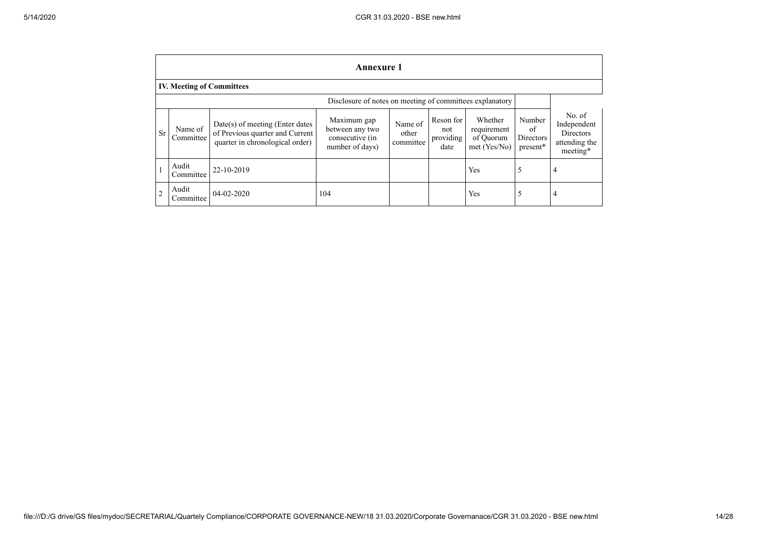|                | <b>Annexure 1</b>                |                                                                                                       |                                                                      |                               |                                       |                                                     |                                       |                                                                 |
|----------------|----------------------------------|-------------------------------------------------------------------------------------------------------|----------------------------------------------------------------------|-------------------------------|---------------------------------------|-----------------------------------------------------|---------------------------------------|-----------------------------------------------------------------|
|                | <b>IV. Meeting of Committees</b> |                                                                                                       |                                                                      |                               |                                       |                                                     |                                       |                                                                 |
|                |                                  |                                                                                                       | Disclosure of notes on meeting of committees explanatory             |                               |                                       |                                                     |                                       |                                                                 |
| <b>Sr</b>      | Name of<br>Committee             | Date(s) of meeting (Enter dates<br>of Previous quarter and Current<br>quarter in chronological order) | Maximum gap<br>between any two<br>consecutive (in<br>number of days) | Name of<br>other<br>committee | Reson for<br>not<br>providing<br>date | Whether<br>requirement<br>of Quorum<br>met (Yes/No) | Number<br>of<br>Directors<br>present* | No. of<br>Independent<br>Directors<br>attending the<br>meeting* |
|                | Audit<br>Committee               | 22-10-2019                                                                                            |                                                                      |                               |                                       | Yes                                                 | 5                                     | 4                                                               |
| $\overline{2}$ | Audit<br>Committee               | $04 - 02 - 2020$                                                                                      | 104                                                                  |                               |                                       | Yes                                                 | 5                                     | $\overline{4}$                                                  |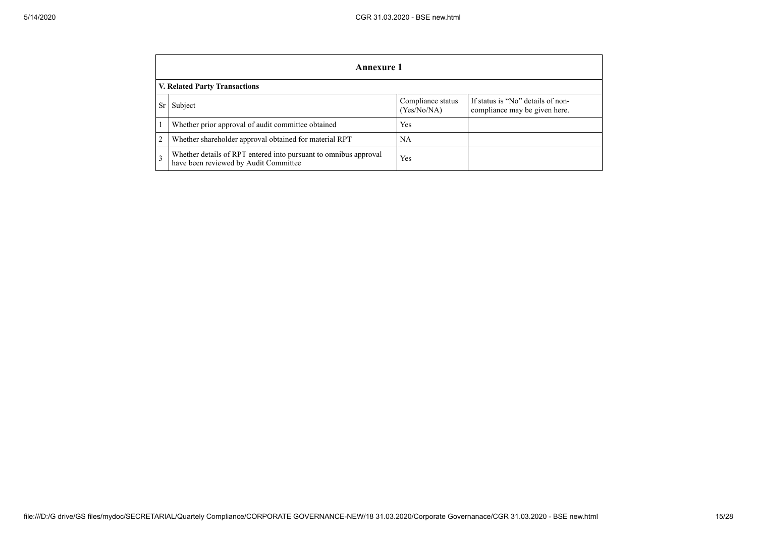|                | Annexure 1                                                                                                |                                  |                                                                    |  |  |
|----------------|-----------------------------------------------------------------------------------------------------------|----------------------------------|--------------------------------------------------------------------|--|--|
|                | <b>V. Related Party Transactions</b>                                                                      |                                  |                                                                    |  |  |
| Sr             | Subject                                                                                                   | Compliance status<br>(Yes/No/NA) | If status is "No" details of non-<br>compliance may be given here. |  |  |
|                | Whether prior approval of audit committee obtained                                                        | Yes                              |                                                                    |  |  |
| $\overline{2}$ | Whether shareholder approval obtained for material RPT                                                    | NA                               |                                                                    |  |  |
| 3              | Whether details of RPT entered into pursuant to omnibus approval<br>have been reviewed by Audit Committee | Yes                              |                                                                    |  |  |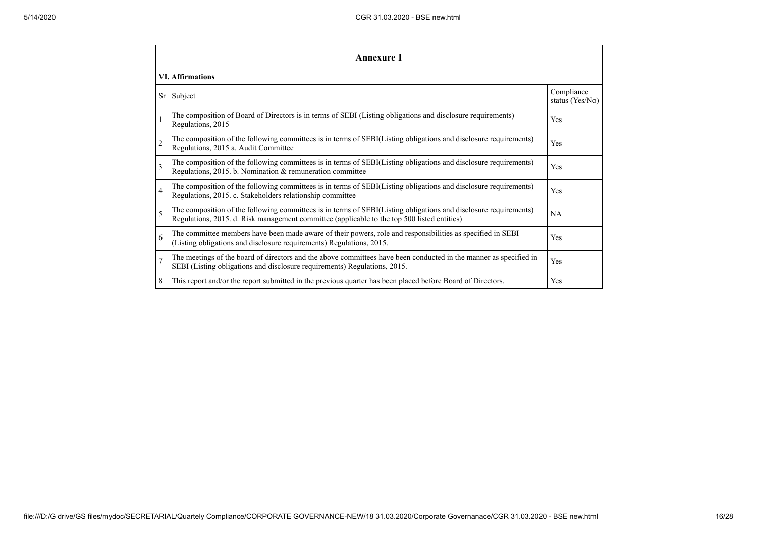|                          | <b>Annexure 1</b>                                                                                                                                                                                               |                               |  |  |  |
|--------------------------|-----------------------------------------------------------------------------------------------------------------------------------------------------------------------------------------------------------------|-------------------------------|--|--|--|
|                          | <b>VI.</b> Affirmations                                                                                                                                                                                         |                               |  |  |  |
| Sr <sub>1</sub>          | Subject                                                                                                                                                                                                         | Compliance<br>status (Yes/No) |  |  |  |
|                          | The composition of Board of Directors is in terms of SEBI (Listing obligations and disclosure requirements)<br>Regulations, 2015                                                                                | Yes                           |  |  |  |
| $\overline{c}$           | The composition of the following committees is in terms of SEBI(Listing obligations and disclosure requirements)<br>Regulations, 2015 a. Audit Committee                                                        | Yes                           |  |  |  |
| $\overline{\mathcal{E}}$ | The composition of the following committees is in terms of SEBI(Listing obligations and disclosure requirements)<br>Regulations, 2015. b. Nomination & remuneration committee                                   | Yes                           |  |  |  |
| $\overline{4}$           | The composition of the following committees is in terms of SEBI(Listing obligations and disclosure requirements)<br>Regulations, 2015. c. Stakeholders relationship committee                                   | Yes                           |  |  |  |
| 5                        | The composition of the following committees is in terms of SEBI(Listing obligations and disclosure requirements)<br>Regulations, 2015. d. Risk management committee (applicable to the top 500 listed entities) | <b>NA</b>                     |  |  |  |
| 6                        | The committee members have been made aware of their powers, role and responsibilities as specified in SEBI<br>(Listing obligations and disclosure requirements) Regulations, 2015.                              | Yes                           |  |  |  |
| $\overline{7}$           | The meetings of the board of directors and the above committees have been conducted in the manner as specified in<br>SEBI (Listing obligations and disclosure requirements) Regulations, 2015.                  | Yes                           |  |  |  |
| 8                        | This report and/or the report submitted in the previous quarter has been placed before Board of Directors.                                                                                                      | Yes                           |  |  |  |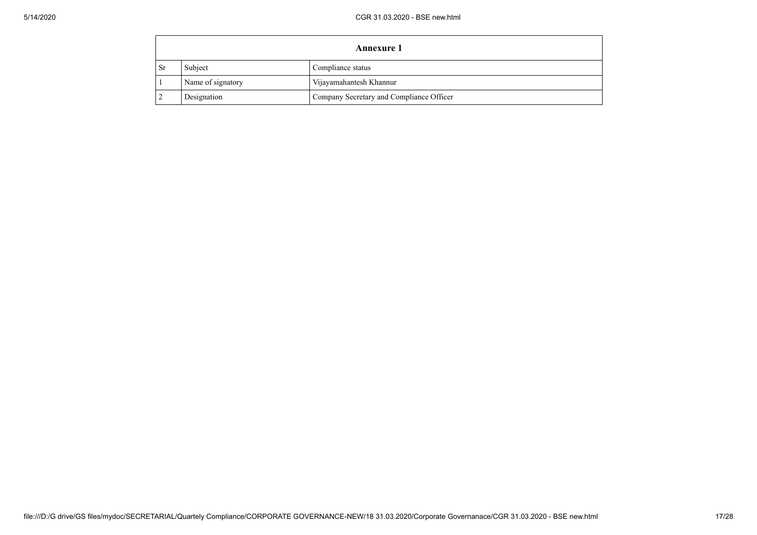|     | <b>Annexure 1</b> |                                          |  |  |  |
|-----|-------------------|------------------------------------------|--|--|--|
| -Sr | Subject           | Compliance status                        |  |  |  |
|     | Name of signatory | Vijayamahantesh Khannur                  |  |  |  |
|     | Designation       | Company Secretary and Compliance Officer |  |  |  |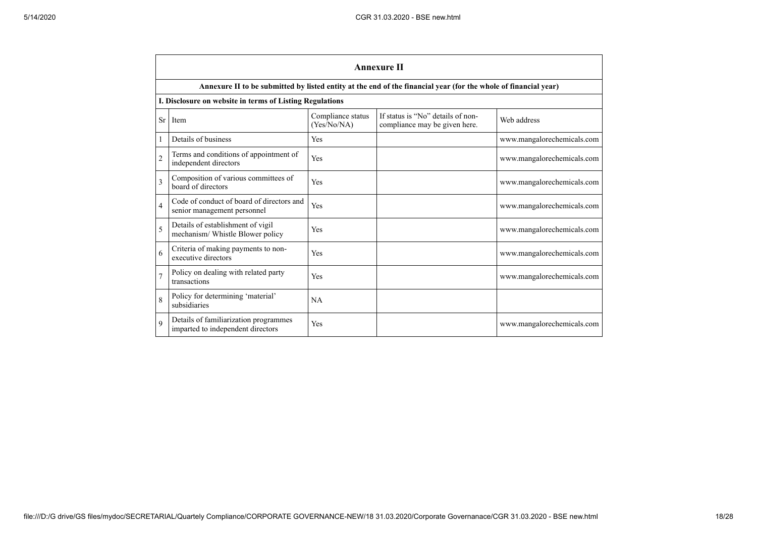|                | <b>Annexure II</b>                                                         |                                  |                                                                                                                 |                            |  |  |
|----------------|----------------------------------------------------------------------------|----------------------------------|-----------------------------------------------------------------------------------------------------------------|----------------------------|--|--|
|                |                                                                            |                                  | Annexure II to be submitted by listed entity at the end of the financial year (for the whole of financial year) |                            |  |  |
|                | I. Disclosure on website in terms of Listing Regulations                   |                                  |                                                                                                                 |                            |  |  |
| Sr             | Item                                                                       | Compliance status<br>(Yes/No/NA) | If status is "No" details of non-<br>compliance may be given here.                                              | Web address                |  |  |
| 1              | Details of business                                                        | Yes                              |                                                                                                                 | www.mangalorechemicals.com |  |  |
| $\overline{c}$ | Terms and conditions of appointment of<br>independent directors            | Yes                              |                                                                                                                 | www.mangalorechemicals.com |  |  |
| 3              | Composition of various committees of<br>board of directors                 | Yes                              |                                                                                                                 | www.mangalorechemicals.com |  |  |
| $\overline{4}$ | Code of conduct of board of directors and<br>senior management personnel   | Yes                              |                                                                                                                 | www.mangalorechemicals.com |  |  |
| 5              | Details of establishment of vigil<br>mechanism/ Whistle Blower policy      | Yes                              |                                                                                                                 | www.mangalorechemicals.com |  |  |
| 6              | Criteria of making payments to non-<br>executive directors                 | Yes                              |                                                                                                                 | www.mangalorechemicals.com |  |  |
| $\overline{7}$ | Policy on dealing with related party<br>transactions                       | Yes                              |                                                                                                                 | www.mangalorechemicals.com |  |  |
| 8              | Policy for determining 'material'<br>subsidiaries                          | NA                               |                                                                                                                 |                            |  |  |
| 9              | Details of familiarization programmes<br>imparted to independent directors | Yes                              |                                                                                                                 | www.mangalorechemicals.com |  |  |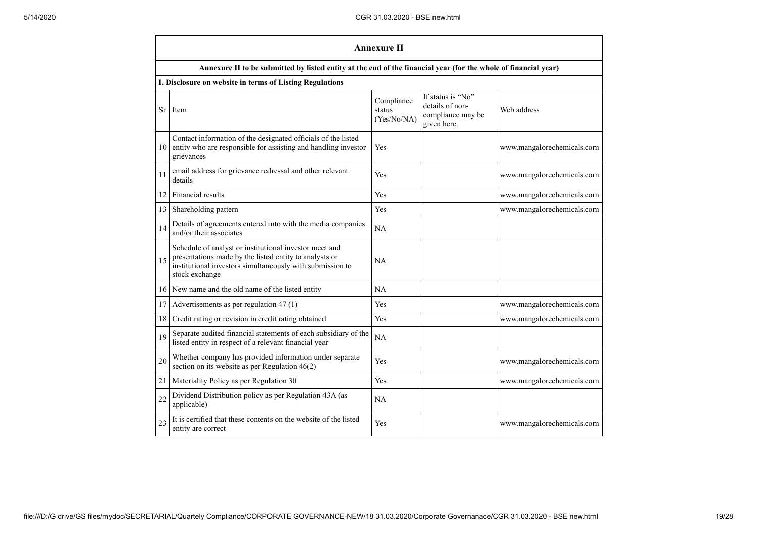|    | <b>Annexure II</b>                                                                                                                                                                              |                                     |                                                                          |                            |
|----|-------------------------------------------------------------------------------------------------------------------------------------------------------------------------------------------------|-------------------------------------|--------------------------------------------------------------------------|----------------------------|
|    | Annexure II to be submitted by listed entity at the end of the financial year (for the whole of financial year)                                                                                 |                                     |                                                                          |                            |
|    | I. Disclosure on website in terms of Listing Regulations                                                                                                                                        |                                     |                                                                          |                            |
| Sr | Item                                                                                                                                                                                            | Compliance<br>status<br>(Yes/No/NA) | If status is "No"<br>details of non-<br>compliance may be<br>given here. | Web address                |
| 10 | Contact information of the designated officials of the listed<br>entity who are responsible for assisting and handling investor<br>grievances                                                   | Yes                                 |                                                                          | www.mangalorechemicals.com |
| 11 | email address for grievance redressal and other relevant<br>details                                                                                                                             | Yes                                 |                                                                          | www.mangalorechemicals.com |
| 12 | Financial results                                                                                                                                                                               | Yes                                 |                                                                          | www.mangalorechemicals.com |
| 13 | Shareholding pattern                                                                                                                                                                            | Yes                                 |                                                                          | www.mangalorechemicals.com |
| 14 | Details of agreements entered into with the media companies<br>and/or their associates                                                                                                          | NA                                  |                                                                          |                            |
| 15 | Schedule of analyst or institutional investor meet and<br>presentations made by the listed entity to analysts or<br>institutional investors simultaneously with submission to<br>stock exchange | NА                                  |                                                                          |                            |
| 16 | New name and the old name of the listed entity                                                                                                                                                  | NА                                  |                                                                          |                            |
| 17 | Advertisements as per regulation 47 (1)                                                                                                                                                         | Yes                                 |                                                                          | www.mangalorechemicals.com |
| 18 | Credit rating or revision in credit rating obtained                                                                                                                                             | Yes                                 |                                                                          | www.mangalorechemicals.com |
| 19 | Separate audited financial statements of each subsidiary of the<br>listed entity in respect of a relevant financial year                                                                        | NA                                  |                                                                          |                            |
| 20 | Whether company has provided information under separate<br>section on its website as per Regulation $46(2)$                                                                                     | Yes                                 |                                                                          | www.mangalorechemicals.com |
| 21 | Materiality Policy as per Regulation 30                                                                                                                                                         | Yes                                 |                                                                          | www.mangalorechemicals.com |
| 22 | Dividend Distribution policy as per Regulation 43A (as<br>applicable)                                                                                                                           | NA                                  |                                                                          |                            |
| 23 | It is certified that these contents on the website of the listed<br>entity are correct                                                                                                          | Yes                                 |                                                                          | www.mangalorechemicals.com |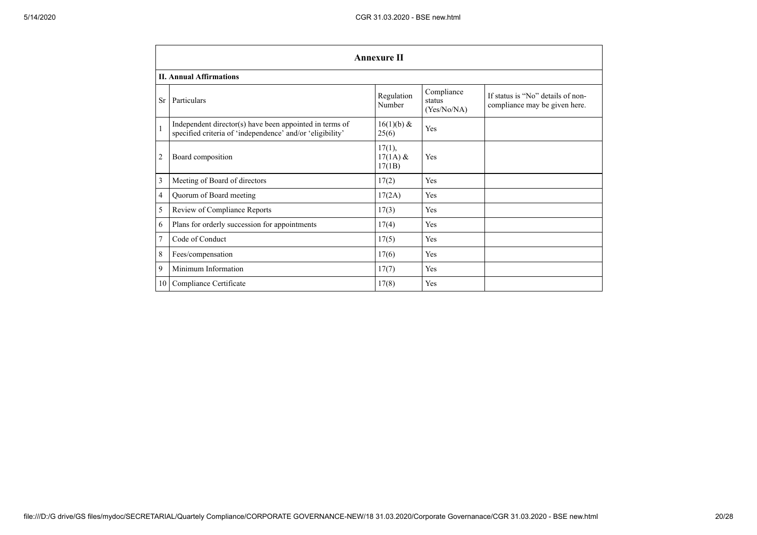|                 | <b>Annexure II</b>                                                                                                   |                                |                                     |                                                                    |  |
|-----------------|----------------------------------------------------------------------------------------------------------------------|--------------------------------|-------------------------------------|--------------------------------------------------------------------|--|
|                 | <b>II. Annual Affirmations</b>                                                                                       |                                |                                     |                                                                    |  |
| <b>Sr</b>       | Particulars                                                                                                          | Regulation<br>Number           | Compliance<br>status<br>(Yes/No/NA) | If status is "No" details of non-<br>compliance may be given here. |  |
| $\mathbf{1}$    | Independent director(s) have been appointed in terms of<br>specified criteria of 'independence' and/or 'eligibility' | $16(1)(b) \&$<br>25(6)         | Yes                                 |                                                                    |  |
| 2               | Board composition                                                                                                    | 17(1),<br>$17(1A)$ &<br>17(1B) | Yes                                 |                                                                    |  |
| 3               | Meeting of Board of directors                                                                                        | 17(2)                          | Yes                                 |                                                                    |  |
| 4               | Quorum of Board meeting                                                                                              | 17(2A)                         | Yes                                 |                                                                    |  |
| 5               | Review of Compliance Reports                                                                                         | 17(3)                          | Yes                                 |                                                                    |  |
| 6               | Plans for orderly succession for appointments                                                                        | 17(4)                          | Yes                                 |                                                                    |  |
| 7               | Code of Conduct                                                                                                      | 17(5)                          | Yes                                 |                                                                    |  |
| 8               | Fees/compensation                                                                                                    | 17(6)                          | Yes                                 |                                                                    |  |
| 9               | Minimum Information                                                                                                  | 17(7)                          | Yes                                 |                                                                    |  |
| 10 <sup>1</sup> | Compliance Certificate                                                                                               | 17(8)                          | Yes                                 |                                                                    |  |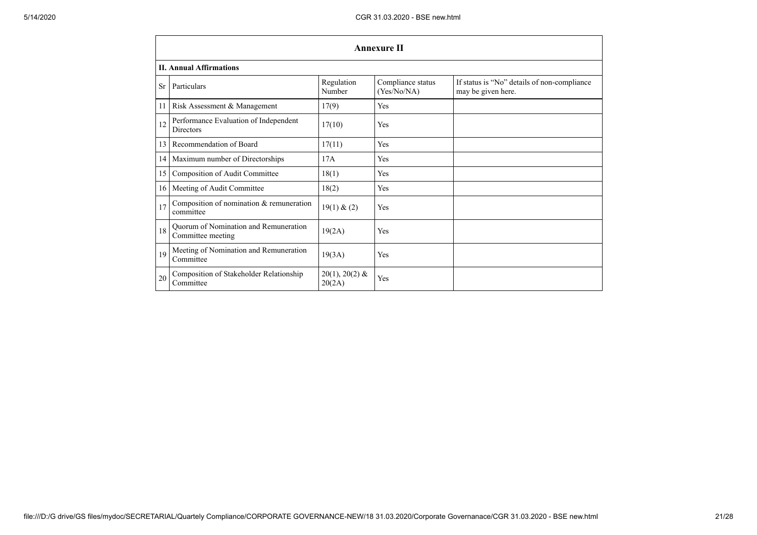|                 | <b>Annexure II</b>                                                |                            |                                  |                                                                   |  |  |
|-----------------|-------------------------------------------------------------------|----------------------------|----------------------------------|-------------------------------------------------------------------|--|--|
|                 | <b>II. Annual Affirmations</b>                                    |                            |                                  |                                                                   |  |  |
| <b>Sr</b>       | Particulars                                                       | Regulation<br>Number       | Compliance status<br>(Yes/No/NA) | If status is "No" details of non-compliance<br>may be given here. |  |  |
| 11              | Risk Assessment & Management                                      | 17(9)                      | Yes                              |                                                                   |  |  |
| 12              | Performance Evaluation of Independent<br><b>Directors</b>         | 17(10)                     | Yes                              |                                                                   |  |  |
| 13              | Recommendation of Board                                           | 17(11)                     | Yes                              |                                                                   |  |  |
| 14 <sup>1</sup> | Maximum number of Directorships                                   | 17A                        | Yes                              |                                                                   |  |  |
| 15              | Composition of Audit Committee                                    | 18(1)                      | Yes                              |                                                                   |  |  |
| 16              | Meeting of Audit Committee                                        | 18(2)                      | Yes                              |                                                                   |  |  |
| 17              | Composition of nomination & remuneration<br>committee             | 19(1) & (2)                | Yes                              |                                                                   |  |  |
| 18              | <b>Quorum of Nomination and Remuneration</b><br>Committee meeting | 19(2A)                     | Yes                              |                                                                   |  |  |
| 19              | Meeting of Nomination and Remuneration<br>Committee               | 19(3A)                     | Yes                              |                                                                   |  |  |
| 20              | Composition of Stakeholder Relationship<br>Committee              | $20(1), 20(2)$ &<br>20(2A) | Yes                              |                                                                   |  |  |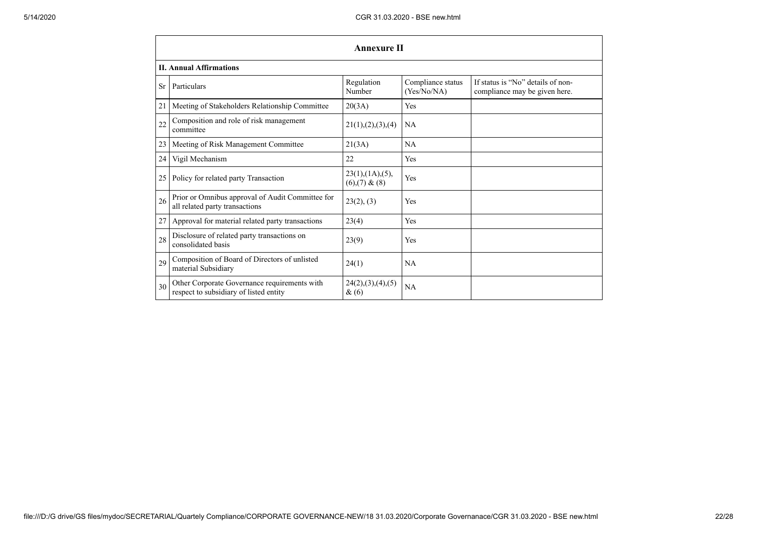|           | <b>Annexure II</b>                                                                     |                                                |                                  |                                                                    |  |
|-----------|----------------------------------------------------------------------------------------|------------------------------------------------|----------------------------------|--------------------------------------------------------------------|--|
|           | <b>II. Annual Affirmations</b>                                                         |                                                |                                  |                                                                    |  |
| <b>Sr</b> | Particulars                                                                            | Regulation<br>Number                           | Compliance status<br>(Yes/No/NA) | If status is "No" details of non-<br>compliance may be given here. |  |
| 21        | Meeting of Stakeholders Relationship Committee                                         | 20(3A)                                         | Yes                              |                                                                    |  |
| 22        | Composition and role of risk management<br>committee                                   | 21(1), (2), (3), (4)                           | <b>NA</b>                        |                                                                    |  |
| 23        | Meeting of Risk Management Committee                                                   | 21(3A)                                         | NA                               |                                                                    |  |
| 24        | Vigil Mechanism                                                                        | 22                                             | Yes                              |                                                                    |  |
| 25        | Policy for related party Transaction                                                   | $23(1)$ , $(1A)$ , $(5)$ ,<br>$(6)(7)$ & $(8)$ | Yes                              |                                                                    |  |
| 26        | Prior or Omnibus approval of Audit Committee for<br>all related party transactions     | 23(2), (3)                                     | Yes                              |                                                                    |  |
| 27        | Approval for material related party transactions                                       | 23(4)                                          | Yes                              |                                                                    |  |
| 28        | Disclosure of related party transactions on<br>consolidated basis                      | 23(9)                                          | Yes                              |                                                                    |  |
| 29        | Composition of Board of Directors of unlisted<br>material Subsidiary                   | 24(1)                                          | NA                               |                                                                    |  |
| 30        | Other Corporate Governance requirements with<br>respect to subsidiary of listed entity | 24(2),(3),(4),(5)<br>$\&(6)$                   | NA                               |                                                                    |  |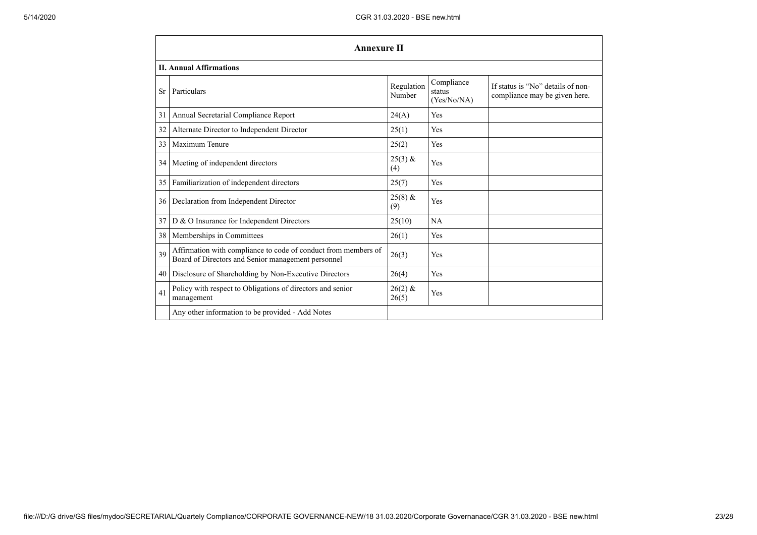|           | <b>Annexure II</b>                                                                                                   |                      |                                     |                                                                    |
|-----------|----------------------------------------------------------------------------------------------------------------------|----------------------|-------------------------------------|--------------------------------------------------------------------|
|           | <b>II. Annual Affirmations</b>                                                                                       |                      |                                     |                                                                    |
| <b>Sr</b> | Particulars                                                                                                          | Regulation<br>Number | Compliance<br>status<br>(Yes/No/NA) | If status is "No" details of non-<br>compliance may be given here. |
| 31        | Annual Secretarial Compliance Report                                                                                 | 24(A)                | Yes                                 |                                                                    |
| 32        | Alternate Director to Independent Director                                                                           | 25(1)                | Yes                                 |                                                                    |
| 33        | Maximum Tenure                                                                                                       | 25(2)                | Yes                                 |                                                                    |
| 34        | Meeting of independent directors                                                                                     | $25(3)$ &<br>(4)     | Yes                                 |                                                                    |
| 35        | Familiarization of independent directors                                                                             | 25(7)                | Yes                                 |                                                                    |
| 36        | Declaration from Independent Director                                                                                | $25(8)$ &<br>(9)     | Yes                                 |                                                                    |
| 37        | D & O Insurance for Independent Directors                                                                            | 25(10)               | <b>NA</b>                           |                                                                    |
| 38        | Memberships in Committees                                                                                            | 26(1)                | Yes                                 |                                                                    |
| 39        | Affirmation with compliance to code of conduct from members of<br>Board of Directors and Senior management personnel | 26(3)                | Yes                                 |                                                                    |
| 40        | Disclosure of Shareholding by Non-Executive Directors                                                                | 26(4)                | Yes                                 |                                                                    |
| 41        | Policy with respect to Obligations of directors and senior<br>management                                             | $26(2)$ &<br>26(5)   | Yes                                 |                                                                    |
|           | Any other information to be provided - Add Notes                                                                     |                      |                                     |                                                                    |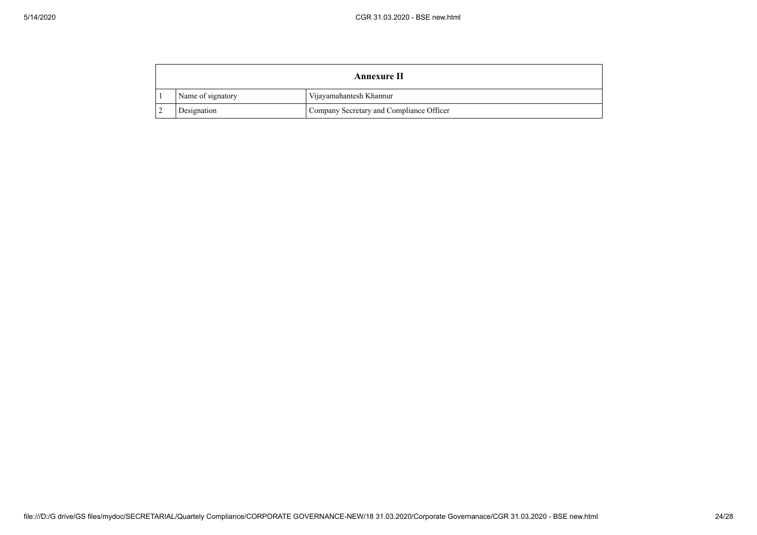|   | Annexure II       |                                          |  |  |
|---|-------------------|------------------------------------------|--|--|
|   | Name of signatory | Vijayamahantesh Khannur                  |  |  |
| ∸ | Designation       | Company Secretary and Compliance Officer |  |  |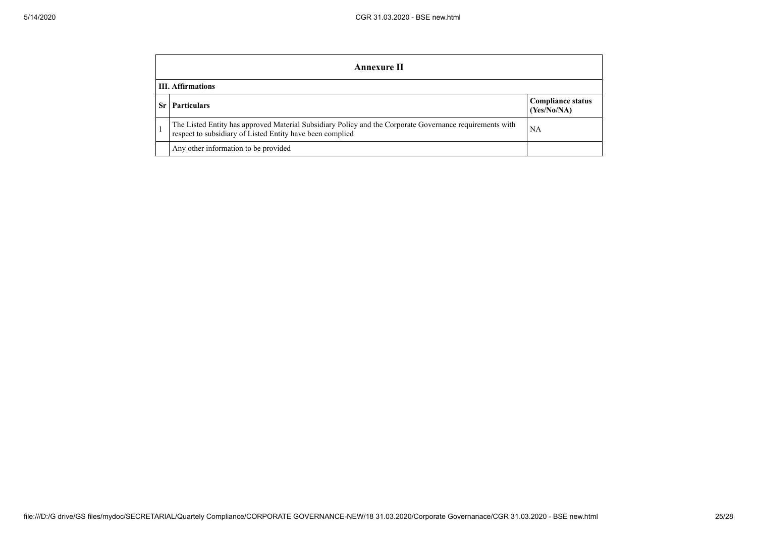|                          | Annexure II                                                                                                                                                           |                                         |  |  |  |
|--------------------------|-----------------------------------------------------------------------------------------------------------------------------------------------------------------------|-----------------------------------------|--|--|--|
| <b>III. Affirmations</b> |                                                                                                                                                                       |                                         |  |  |  |
|                          | <b>Particulars</b>                                                                                                                                                    | <b>Compliance status</b><br>(Yes/No/NA) |  |  |  |
|                          | The Listed Entity has approved Material Subsidiary Policy and the Corporate Governance requirements with<br>respect to subsidiary of Listed Entity have been complied | NA                                      |  |  |  |
|                          | Any other information to be provided                                                                                                                                  |                                         |  |  |  |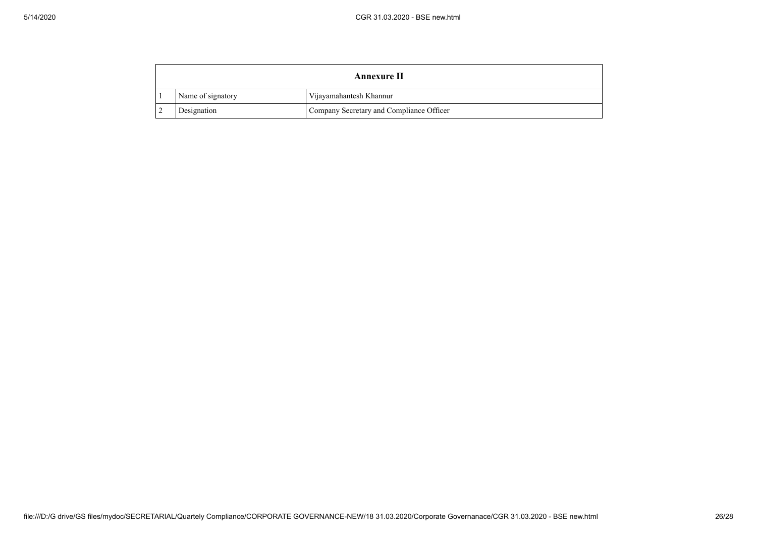| <b>Annexure II</b> |                   |                                          |
|--------------------|-------------------|------------------------------------------|
|                    | Name of signatory | Vijayamahantesh Khannur                  |
|                    | Designation       | Company Secretary and Compliance Officer |